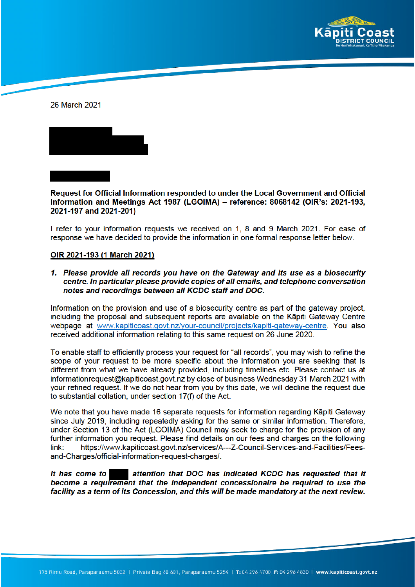

26 March 2021



Request for Official Information responded to under the Local Government and Official Information and Meetings Act 1987 (LGOIMA) - reference: 8068142 (OIR's: 2021-193, 2021-197 and 2021-201)

I refer to your information requests we received on 1, 8 and 9 March 2021. For ease of response we have decided to provide the information in one formal response letter below.

#### OIR 2021-193 (1 March 2021)

1. Please provide all records you have on the Gateway and its use as a biosecurity centre. In particular please provide copies of all emails, and telephone conversation notes and recordings between all KCDC staff and DOC.

Information on the provision and use of a biosecurity centre as part of the gateway project. including the proposal and subsequent reports are available on the Kāpiti Gateway Centre webpage at www.kapiticoast.govt.nz/your-council/projects/kapiti-gateway-centre. You also received additional information relating to this same request on 26 June 2020.

To enable staff to efficiently process your request for "all records", you may wish to refine the scope of your request to be more specific about the information you are seeking that is different from what we have already provided, including timelines etc. Please contact us at informationreguest@kapiticoast.govt.nz by close of business Wednesday 31 March 2021 with your refined request. If we do not hear from you by this date, we will decline the request due to substantial collation, under section 17(f) of the Act.

We note that you have made 16 separate requests for information regarding Kāpiti Gateway since July 2019, including repeatedly asking for the same or similar information. Therefore, under Section 13 of the Act (LGOIMA) Council may seek to charge for the provision of any further information you request. Please find details on our fees and charges on the following link: https://www.kapiticoast.govt.nz/services/A---Z-Council-Services-and-Facilities/Feesand-Charges/official-information-request-charges/.

It has come to attention that DOC has indicated KCDC has requested that it become a requirement that the independent concessionaire be required to use the facility as a term of its Concession, and this will be made mandatory at the next review.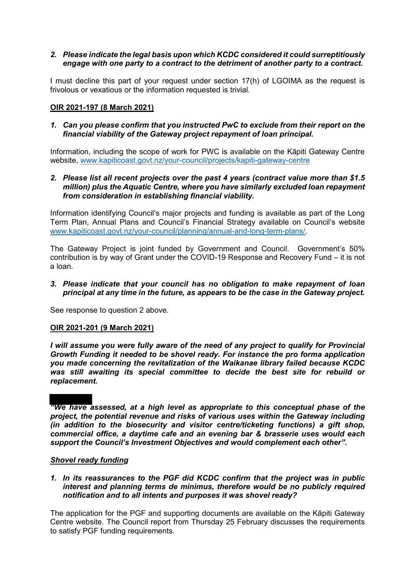## *2. Please indicate the legal basis upon which KCDC considered it could surreptitiously engage with one party to a contract to the detriment of another party to a contract.*

I must decline this part of your request under section 17(h) of LGOIMA as the request is frivolous or vexatious or the information requested is trivial.

## **OIR 2021-197 (8 March 2021)**

### *1. Can you please confirm that you instructed PwC to exclude from their report on the financial viability of the Gateway project repayment of loan principal.*

Information, including the scope of work for PWC is available on the Kāpiti Gateway Centre website, www.kapiticoast.govt.nz/your-council/projects/kapiti-gateway-centre

## *2. Please list all recent projects over the past 4 years (contract value more than \$1.5 million) plus the Aquatic Centre, where you have similarly excluded loan repayment from consideration in establishing financial viability.*

Information identifying Council's major projects and funding is available as part of the Long Term Plan, Annual Plans and Council's Financial Strategy available on Council's website www.kapiticoast.govt.nz/your-council/planning/annual-and-long-term-plans/.

The Gateway Project is joint funded by Government and Council. Government's 50% contribution is by way of Grant under the COVID-19 Response and Recovery Fund – it is not a loan.

### *3. Please indicate that your council has no obligation to make repayment of loan principal at any time in the future, as appears to be the case in the Gateway project.*

See response to question 2 above.

#### **OIR 2021-201 (9 March 2021)**

*I will assume you were fully aware of the need of any project to qualify for Provincial Growth Funding it needed to be shovel ready. For instance the pro forma application you made concerning the revitalization of the Waikanae library failed because KCDC was still awaiting its special committee to decide the best site for rebuild or replacement.*

## *"We have assessed, at a high level as appropriate to this conceptual phase of the project, the potential revenue and risks of various uses within the Gateway including (in addition to the biosecurity and visitor centre/ticketing functions) a gift shop, commercial office, a daytime cafe and an evening bar & brasserie uses would each support the Council's Investment Objectives and would complement each other".*

#### *Shovel ready funding*

*1. In its reassurances to the PGF did KCDC confirm that the project was in public interest and planning terms de minimus, therefore would be no publicly required notification and to all intents and purposes it was shovel ready?* 

The application for the PGF and supporting documents are available on the Kāpiti Gateway Centre website. The Council report from Thursday 25 February discusses the requirements to satisfy PGF funding requirements.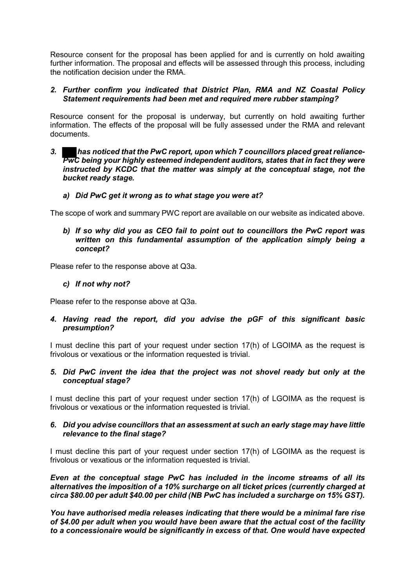Resource consent for the proposal has been applied for and is currently on hold awaiting further information. The proposal and effects will be assessed through this process, including the notification decision under the RMA.

## *2. Further confirm you indicated that District Plan, RMA and NZ Coastal Policy Statement requirements had been met and required mere rubber stamping?*

Resource consent for the proposal is underway, but currently on hold awaiting further information. The effects of the proposal will be fully assessed under the RMA and relevant documents.

*3. has noticed that the PwC report, upon which 7 councillors placed great reliance-***PwC** being your highly esteemed independent auditors, states that in fact they were *instructed by KCDC that the matter was simply at the conceptual stage, not the bucket ready stage.*

## *a) Did PwC get it wrong as to what stage you were at?*

The scope of work and summary PWC report are available on our website as indicated above.

*b) If so why did you as CEO fail to point out to councillors the PwC report was written on this fundamental assumption of the application simply being a concept?* 

Please refer to the response above at Q3a.

## *c) If not why not?*

Please refer to the response above at Q3a.

# *4. Having read the report, did you advise the pGF of this significant basic presumption?*

I must decline this part of your request under section 17(h) of LGOIMA as the request is frivolous or vexatious or the information requested is trivial.

## *5. Did PwC invent the idea that the project was not shovel ready but only at the conceptual stage?*

I must decline this part of your request under section 17(h) of LGOIMA as the request is frivolous or vexatious or the information requested is trivial.

## *6. Did you advise councillors that an assessment at such an early stage may have little relevance to the final stage?*

I must decline this part of your request under section 17(h) of LGOIMA as the request is frivolous or vexatious or the information requested is trivial.

*Even at the conceptual stage PwC has included in the income streams of all its alternatives the imposition of a 10% surcharge on all ticket prices (currently charged at circa \$80.00 per adult \$40.00 per child (NB PwC has included a surcharge on 15% GST).* 

*You have authorised media releases indicating that there would be a minimal fare rise of \$4.00 per adult when you would have been aware that the actual cost of the facility to a concessionaire would be significantly in excess of that. One would have expected*